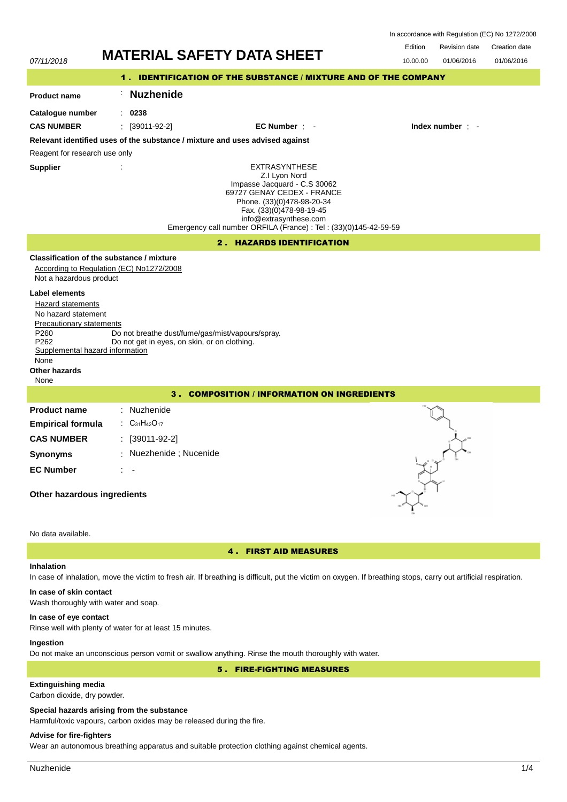In accordance with Regulation (EC) No 1272/2008

Revision date Edition Creation date



# **Inhalation**

# In case of inhalation, move the victim to fresh air. If breathing is difficult, put the victim on oxygen. If breathing stops, carry out artificial respiration.

#### **In case of skin contact**

Wash thoroughly with water and soap.

### **In case of eye contact**

Rinse well with plenty of water for at least 15 minutes.

### **Ingestion**

Do not make an unconscious person vomit or swallow anything. Rinse the mouth thoroughly with water.

## 5 . FIRE-FIGHTING MEASURES

# **Extinguishing media**

Carbon dioxide, dry powder.

### **Special hazards arising from the substance**

Harmful/toxic vapours, carbon oxides may be released during the fire.

# **Advise for fire-fighters**

Wear an autonomous breathing apparatus and suitable protection clothing against chemical agents.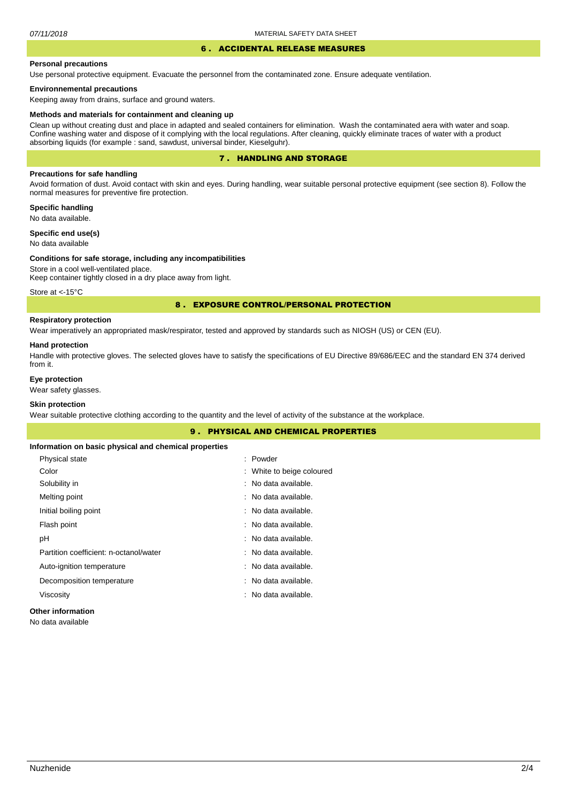#### 6 . ACCIDENTAL RELEASE MEASURES

#### **Personal precautions**

Use personal protective equipment. Evacuate the personnel from the contaminated zone. Ensure adequate ventilation.

### **Environnemental precautions**

Keeping away from drains, surface and ground waters.

#### **Methods and materials for containment and cleaning up**

Clean up without creating dust and place in adapted and sealed containers for elimination. Wash the contaminated aera with water and soap. Confine washing water and dispose of it complying with the local regulations. After cleaning, quickly eliminate traces of water with a product absorbing liquids (for example : sand, sawdust, universal binder, Kieselguhr).

## 7 . HANDLING AND STORAGE

### **Precautions for safe handling**

Avoid formation of dust. Avoid contact with skin and eyes. During handling, wear suitable personal protective equipment (see section 8). Follow the normal measures for preventive fire protection.

**Specific handling** No data available.

**Specific end use(s)**

# No data available

#### **Conditions for safe storage, including any incompatibilities**

Store in a cool well-ventilated place. Keep container tightly closed in a dry place away from light.

Store at <-15°C

### 8 . EXPOSURE CONTROL/PERSONAL PROTECTION

# **Respiratory protection**

Wear imperatively an appropriated mask/respirator, tested and approved by standards such as NIOSH (US) or CEN (EU).

#### **Hand protection**

Handle with protective gloves. The selected gloves have to satisfy the specifications of EU Directive 89/686/EEC and the standard EN 374 derived from it.

### **Eye protection**

Wear safety glasses.

# **Skin protection**

Wear suitable protective clothing according to the quantity and the level of activity of the substance at the workplace.

| <b>9. PHYSICAL AND CHEMICAL PROPERTIES</b>            |                           |  |
|-------------------------------------------------------|---------------------------|--|
| Information on basic physical and chemical properties |                           |  |
| Physical state                                        | : Powder                  |  |
| Color                                                 | : White to beige coloured |  |
| Solubility in                                         | : No data available.      |  |
| Melting point                                         | : No data available.      |  |
| Initial boiling point                                 | : No data available.      |  |
| Flash point                                           | : No data available.      |  |
| рH                                                    | : No data available.      |  |
| Partition coefficient: n-octanol/water                | : No data available.      |  |
| Auto-ignition temperature                             | : No data available.      |  |
| Decomposition temperature                             | : No data available.      |  |
| Viscosity                                             | : No data available.      |  |
|                                                       |                           |  |

### **Other information**

No data available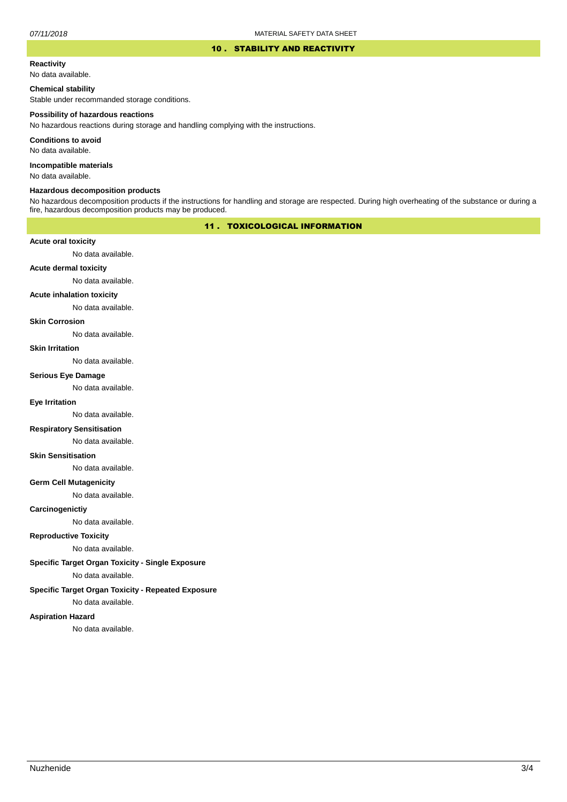## 10 . STABILITY AND REACTIVITY

# **Reactivity**

No data available.

# **Chemical stability**

Stable under recommanded storage conditions.

#### **Possibility of hazardous reactions**

No hazardous reactions during storage and handling complying with the instructions.

**Conditions to avoid**

No data available.

**Incompatible materials**

No data available.

### **Hazardous decomposition products**

No hazardous decomposition products if the instructions for handling and storage are respected. During high overheating of the substance or during a fire, hazardous decomposition products may be produced.

# 11 . TOXICOLOGICAL INFORMATION

### **Acute oral toxicity**

No data available.

# **Acute dermal toxicity**

No data available.

#### **Acute inhalation toxicity**

No data available.

### **Skin Corrosion**

No data available.

#### **Skin Irritation**

No data available.

### **Serious Eye Damage**

No data available.

# **Eye Irritation**

No data available.

### **Respiratory Sensitisation**

No data available.

#### **Skin Sensitisation**

No data available.

### **Germ Cell Mutagenicity**

No data available.

### **Carcinogenictiy**

No data available.

# **Reproductive Toxicity**

No data available.

### **Specific Target Organ Toxicity - Single Exposure**

No data available.

### **Specific Target Organ Toxicity - Repeated Exposure**

No data available.

#### **Aspiration Hazard**

No data available.